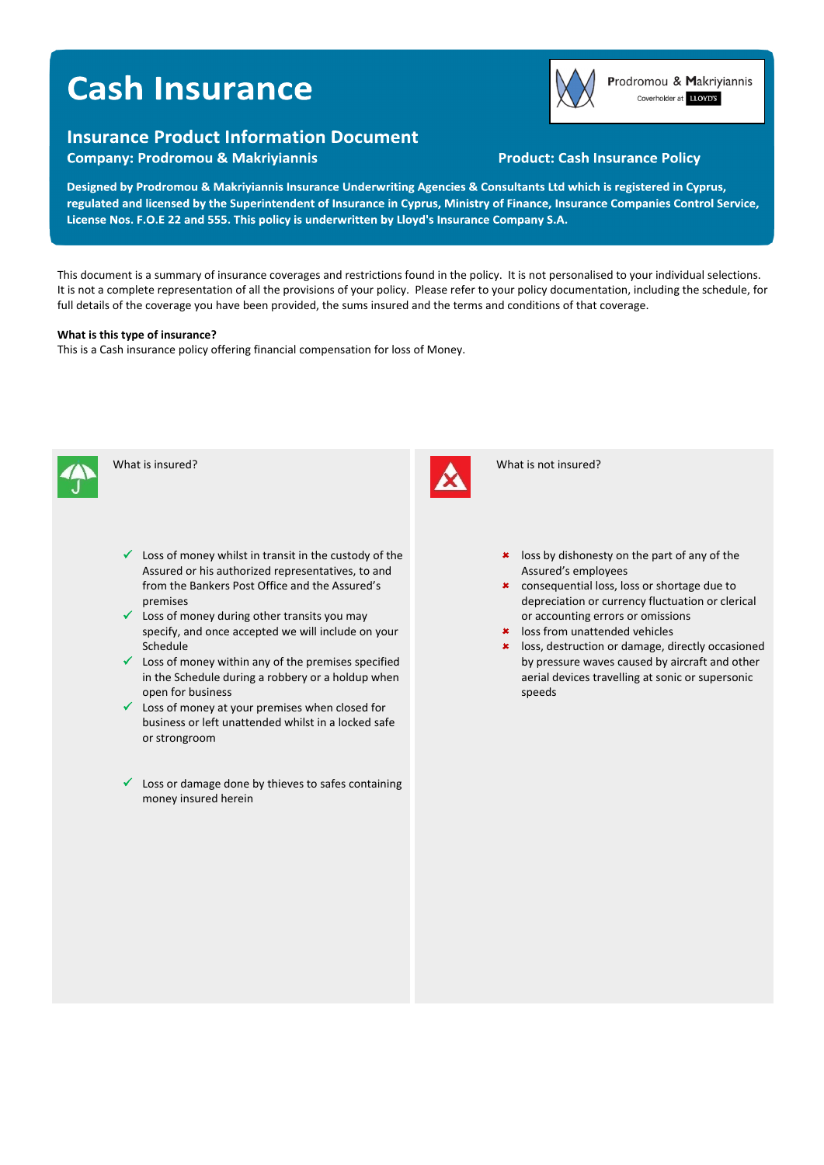# **Cash Insurance**

# **Insurance Product Information Document**

**Company: Prodromou & Makriyiannis** 

Prodromou & Makriyiannis Coverholder at LLOYD'S

## **Product: Cash Insurance Policy**

Designed by Prodromou & Makriyiannis Insurance Underwriting Agencies & Consultants Ltd which is registered in Cyprus, regulated and licensed by the Superintendent of Insurance in Cyprus, Ministry of Finance, Insurance Companies Control Service, License Nos. F.O.E 22 and 555. This policy is underwritten by Lloyd's Insurance Company S.A.

This document is a summary of insurance coverages and restrictions found in the policy. It is not personalised to your individual selections. It is not a complete representation of all the provisions of your policy. Please refer to your policy documentation, including the schedule, for full details of the coverage you have been provided, the sums insured and the terms and conditions of that coverage.

#### **What is this type of insurance?**

This is a Cash insurance policy offering financial compensation for loss of Money.



What is insured?



What is not insured?

- **\*** loss by dishonesty on the part of any of the Assured's employees
- **\*** consequential loss, loss or shortage due to depreciation or currency fluctuation or clerical or accounting errors or omissions
- **\*** loss from unattended vehicles
- **\*** loss, destruction or damage, directly occasioned by pressure waves caused by aircraft and other aerial devices travelling at sonic or supersonic speeds
- $\checkmark$  Loss of money whilst in transit in the custody of the Assured or his authorized representatives, to and from the Bankers Post Office and the Assured's premises
- $\checkmark$  Loss of money during other transits you may specify, and once accepted we will include on your Schedule
- $\checkmark$  Loss of money within any of the premises specified in the Schedule during a robbery or a holdup when open for business
- $\checkmark$  Loss of money at your premises when closed for business or left unattended whilst in a locked safe or strongroom
- $\checkmark$  Loss or damage done by thieves to safes containing money insured herein